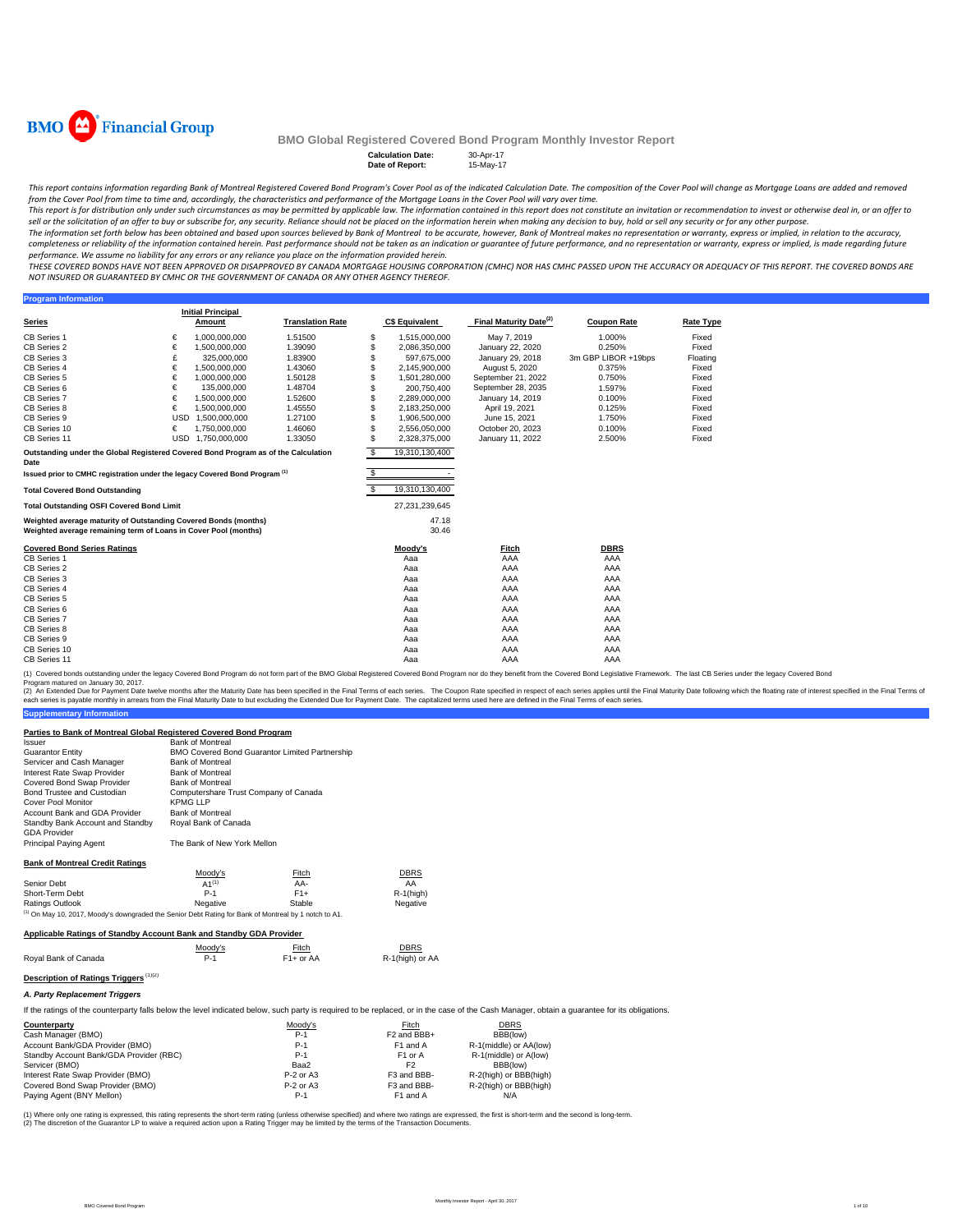

**Program Inform** 

#### **BMO Global Registered Covered Bond Program Monthly Investor Report**

**Calculation Date:** 30-Apr-17 **Pay-17** 

This report contains information regarding Bank of Montreal Registered Covered Bond Program's Cover Pool as of the indicated Calculation Date. The composition of the Cover Pool will change as Mortgage Loans are added and r from the Cover Pool from time to time and, accordingly, the characteristics and performance of the Mortgage Loans in the Cover Pool will vary over time.

This report is for distribution only under such circumstances as may be permitted by applicable law. The information contained in this report does not constitute an invitation or recommendation to invest or otherwise deal sell or the solicitation of an offer to buy or subscribe for, any security. Reliance should not be placed on the information herein when making any decision to buy, hold or sell any security or for any other purpose.

The information set forth below has been obtained and based upon sources believed by Bank of Montreal to be accurate, however, Bank of Montreal makes no representation or warranty, express or implied, in relation to the ac completeness or reliability of the information contained herein. Past performance should not be taken as an indication or guarantee of future performance, and no representation or warranty, express or implied, is made rega performance. We assume no liability for any errors or any reliance you place on the information provided herein.

.<br>THESE COVERED BONDS HAVE NOT BEEN APPROVED OR DISAPPROVED BY CANADA MORTGAGE HOUSING CORPORATION (CMHC) NOR HAS CMHC PASSED UPON THE ACCURACY OR ADEQUACY OF THIS REPORT. THE COVERED BONDS ARE *NOT INSURED OR GUARANTEED BY CMHC OR THE GOVERNMENT OF CANADA OR ANY OTHER AGENCY THEREOF.*

**Series Initial Principal C\$ Equivalent Final Maturity Date<sup>(2)</sup> Coupon Rate <b>Rate Type** CB Series 1 € 1,000,000,000 1.51500 \$ 1,515,000,000 May 7, 2019 1.000% Fixed CB Series 2 € 1,500,000,000 1.39090 \$ 2,086,350,000 January 22, 2020 0.250% Fixed CB Series 2  $\epsilon$  1,500,000,000 1.39090  $\epsilon$  2,086,350,000 January 29, 2020 0.250% Fixed<br>
CB Series 3  $\epsilon$  325,000,000 1.83900  $\epsilon$  597,675,000 January 29, 2018 3m GBP LIBOR +19bps Floating<br>
CB Series 5  $\epsilon$  1,500,000,000 CB Series 4 € 1,500,000,000 1.43060 \$ 2,145,900,000 August 5, 2020 0.375% Fixed CB CHE CHE CHE CHE CHE CHE CHE SOLO - 1.1000,000,000 1.5012.<br>CB Series 5 1,501,280,000 September 21, 2022 0.750% Fixed CB Series 6 € 135,000,000 1.48704 \$ 200,750,400 September 28, 2035 1.597% Fixed CB Series 7 € 1,500,000,000 1.52600 \$ 2,289,000,000 January 14, 2019 0.100% Fixed CB Series 8 € 1,500,000,000 1.45550 \$ 2,183,250,000 April 19, 2021 0.125% Fixed CB Series 9 USD 1,500,000,000 1.27100 \$ 1,906,500,000 June 15, 2021 1.750% Fixed CB Series 10 € 1,750,000,000 1.46060 \$ 2,556,050,000 October 20, 2023 0.100% Fixed CB Series 11 USD 1,750,000,000 1.33050 \$ 2,328,375,000 January 11, 2022 2.500% Fixed \$ 19,310,130,400 \$ - **Total Covered Bond Outstanding** \$ 19,310,130,400 **Total Outstanding OSFI Covered Bond Limit** 27,231,239,645 47.18 30.46 **Covered Bond Series Ratings Moody's Fitch DBRS** CB Series 1 Aaa AAA AAA CB Series 2 Aaa AAA AAA CB Series 3 Aaa AAA AAA CB Series 4 Aaa AAA AAA CB Series 5 Aaa AAA AAA CB Series 6 Aaa AAA AAA CB Series 7 Aaa AAA AAA CB Series 8 Aaa AAA AAA CB Series 9 Aaa AAA AAA CB Series 10 Aaa AAA AAA CB Series 11 Aaa AAA AAA **Translation Rate Outstanding under the Global Registered Covered Bond Program as of the Calculation Date Issued prior to CMHC registration under the legacy Covered Bond Program (1) Weighted average maturity of Outstanding Covered Bonds (months) Weighted average remaining term of Loans in Cover Pool (months)**

(1) Covered bonds outstanding under the legacy Covered Bond Program do not form part of the BMO Global Registered Covered Bond Program nor do they benefit from the Covered Bond Legislative Framework. The last CB Series und

**Supplementary Information** (2) An Extended Due for Payment Date twelve months after the Maturity Date has been specified in the Final Erms of each series. The Capon Rate specified in the Final Maturity Date in the Final Maturity Date in the Sinal Te

#### **Parties to Bank of Montreal Global Registered Covered Bond Program**

| Issuer                                                  | <b>Bank of Montreal</b>                               |
|---------------------------------------------------------|-------------------------------------------------------|
| <b>Guarantor Entity</b>                                 | <b>BMO Covered Bond Guarantor Limited Partnership</b> |
| Servicer and Cash Manager                               | <b>Bank of Montreal</b>                               |
| Interest Rate Swap Provider                             | <b>Bank of Montreal</b>                               |
| Covered Bond Swap Provider                              | <b>Bank of Montreal</b>                               |
| Bond Trustee and Custodian                              | Computershare Trust Company of Canada                 |
| Cover Pool Monitor                                      | <b>KPMG LLP</b>                                       |
| Account Bank and GDA Provider                           | <b>Bank of Montreal</b>                               |
| Standby Bank Account and Standby<br><b>GDA Provider</b> | Roval Bank of Canada                                  |
| Principal Paying Agent                                  | The Bank of New York Mellon                           |
| <b>Bank of Montreal Credit Ratings</b>                  |                                                       |

|                 | Moody's                                                                                                          | Fitch  | <b>DBRS</b>  |
|-----------------|------------------------------------------------------------------------------------------------------------------|--------|--------------|
| Senior Debt     | $A1^{(1)}$                                                                                                       | AA-    | AA           |
| Short-Term Debt | $P-1$                                                                                                            | $F1+$  | $R-1$ (high) |
| Ratings Outlook | Negative                                                                                                         | Stable | Negative     |
|                 | <sup>(1)</sup> On May 10, 2017, Moody's downgraded the Senior Debt Rating for Bank of Montreal by 1 notch to A1. |        |              |
|                 | Applicable Ratings of Standby Account Bank and Standby GDA Provider                                              |        |              |
|                 |                                                                                                                  |        |              |

|                                        | Moodv's | Fitch       | <b>DBRS</b>     |
|----------------------------------------|---------|-------------|-----------------|
| Roval Bank of Canada                   | P-1     | $F1+$ or AA | R-1(high) or AA |
| Description of Ratings Triggers (1)(2) |         |             |                 |

*A. Party Replacement Triggers*

If the ratings of the counterparty falls below the level indicated below, such party is required to be replaced, or in the case of the Cash Manager, obtain a guarantee for its obligations.

| Counterparty                            | Moodv's     | Fitch                   | <b>DBRS</b>            |  |
|-----------------------------------------|-------------|-------------------------|------------------------|--|
| Cash Manager (BMO)                      | $P-1$       | F <sub>2</sub> and BBB+ | BBB(low)               |  |
| Account Bank/GDA Provider (BMO)         | $P-1$       | F1 and A                | R-1(middle) or AA(low) |  |
| Standby Account Bank/GDA Provider (RBC) | $P-1$       | F <sub>1</sub> or A     | R-1(middle) or A(low)  |  |
| Servicer (BMO)                          | Baa2        | F2                      | BBB(low)               |  |
| Interest Rate Swap Provider (BMO)       | P-2 or A3   | F3 and BBB-             | R-2(high) or BBB(high) |  |
| Covered Bond Swap Provider (BMO)        | $P-2$ or A3 | F3 and BBB-             | R-2(high) or BBB(high) |  |
| Paying Agent (BNY Mellon)               | $P-1$       | F1 and A                | N/A                    |  |
|                                         |             |                         |                        |  |

ere only one rating is expressed, this rating represents the short-term rating (unless otherwise specified) and where two ratings are expressed, the first is short-term and the second is long-term. (2) The discretion of the Guarantor LP to waive a required action upon a Rating Trigger may be limited by the terms of the Transaction Documents.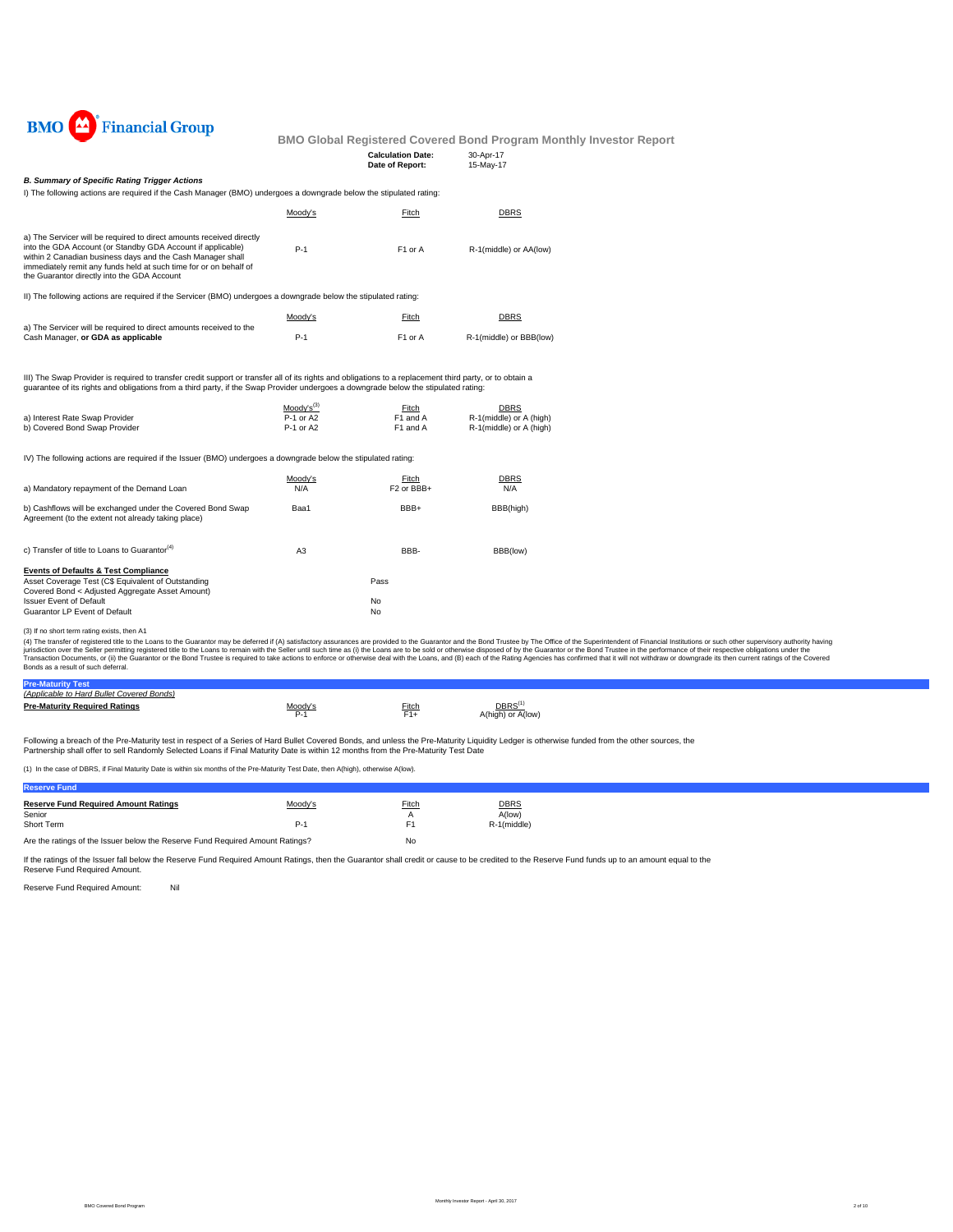

| <b>Calculation Date:</b> | 30-Apr-17 |
|--------------------------|-----------|
| Date of Report:          | 15-May-17 |

#### *B. Summary of Specific Rating Trigger Actions*

I) The following actions are required if the Cash Manager (BMO) undergoes a downgrade below the stipulated rating:

|                                                                                                                                                                                                                                                                                                                       | Moody's | Fitch               | DBRS                    |
|-----------------------------------------------------------------------------------------------------------------------------------------------------------------------------------------------------------------------------------------------------------------------------------------------------------------------|---------|---------------------|-------------------------|
| a) The Servicer will be required to direct amounts received directly<br>into the GDA Account (or Standby GDA Account if applicable)<br>within 2 Canadian business days and the Cash Manager shall<br>immediately remit any funds held at such time for or on behalf of<br>the Guarantor directly into the GDA Account | $P-1$   | F <sub>1</sub> or A | R-1(middle) or AA(low)  |
| II) The following actions are required if the Servicer (BMO) undergoes a downgrade below the stipulated rating:                                                                                                                                                                                                       |         |                     |                         |
|                                                                                                                                                                                                                                                                                                                       | Moody's | Fitch               | DBRS                    |
| a) The Servicer will be required to direct amounts received to the<br>Cash Manager, or GDA as applicable                                                                                                                                                                                                              | $P-1$   | F <sub>1</sub> or A | R-1(middle) or BBB(low) |

III) The Swap Provider is required to transfer credit support or transfer all of its rights and obligations to a replacement third party, or to obtain a guarantee of its rights and obligations from a third party, if the Swap Provider undergoes a downgrade below the stipulated rating:

|                                | $Modv's^{(3)}$ | Fitch    | <b>DBRS</b>             |
|--------------------------------|----------------|----------|-------------------------|
| a) Interest Rate Swap Provider | P-1 or A2      | F1 and A | R-1(middle) or A (high) |
| b) Covered Bond Swap Provider  | P-1 or A2      | F1 and A | R-1(middle) or A (high) |

IV) The following actions are required if the Issuer (BMO) undergoes a downgrade below the stipulated rating:

| a) Mandatory repayment of the Demand Loan                                                                                                                | Moody's<br>N/A | Fitch<br>F <sub>2</sub> or BB <sub>B+</sub> | <b>DBRS</b><br>N/A |
|----------------------------------------------------------------------------------------------------------------------------------------------------------|----------------|---------------------------------------------|--------------------|
| b) Cashflows will be exchanged under the Covered Bond Swap<br>Agreement (to the extent not already taking place)                                         | Baa1           | BBB+                                        | BBB(high)          |
| c) Transfer of title to Loans to Guarantor <sup>(4)</sup>                                                                                                | A <sub>3</sub> | BBB-                                        | BBB(low)           |
| <b>Events of Defaults &amp; Test Compliance</b><br>Asset Coverage Test (C\$ Equivalent of Outstanding<br>Covered Bond < Adjusted Aggregate Asset Amount) |                | Pass                                        |                    |
| <b>Issuer Event of Default</b><br>Guarantor LP Event of Default                                                                                          |                | No<br>No                                    |                    |

(3) If no short term rating exists, then A1

(4) The transfer of registered title to the Cans to the Guarantor may be deferred if (A) saitsfactory assurances are provided to the Guarantor and the Bond Trustee by The Office of the Sulerintendent of Financial Instituti

| <b>Pre-Man</b>                            |                    |              |                                                |
|-------------------------------------------|--------------------|--------------|------------------------------------------------|
| (Applicable to Hard Bullet Covered Bonds) |                    |              |                                                |
| <b>Pre-Maturity Required Ratings</b>      | Moody'<br><u>.</u> | <u>Fitch</u> | <b>DBRS</b><br>A(low)<br>$A(high)$ or $\prime$ |
|                                           |                    |              |                                                |

Following a breach of the Pre-Maturity test in respect of a Series of Hard Bullet Covered Bonds, and unless the Pre-Maturity Liquidity Ledger is otherwise funded from the other sources, the<br>Partnership shall offer to sell

(1) In the case of DBRS, if Final Maturity Date is within six months of the Pre-Maturity Test Date, then A(high), otherwise A(low).

| <b>Reserve Fund</b>                                                           |         |       |             |
|-------------------------------------------------------------------------------|---------|-------|-------------|
| <b>Reserve Fund Required Amount Ratings</b>                                   | Moody's | Fitch | <b>DBRS</b> |
| Senior                                                                        |         |       | A(low)      |
| Short Term                                                                    | $P-1$   | F1    | R-1(middle) |
| Are the ratings of the Issuer below the Reserve Fund Required Amount Ratings? |         | No    |             |

If the ratings of the Issuer fall below the Reserve Fund Required Amount Ratings, then the Guarantor shall credit or cause to be credited to the Reserve Fund funds up to an amount equal to the Reserve Fund Required Amount.

Reserve Fund Required Amount: Nil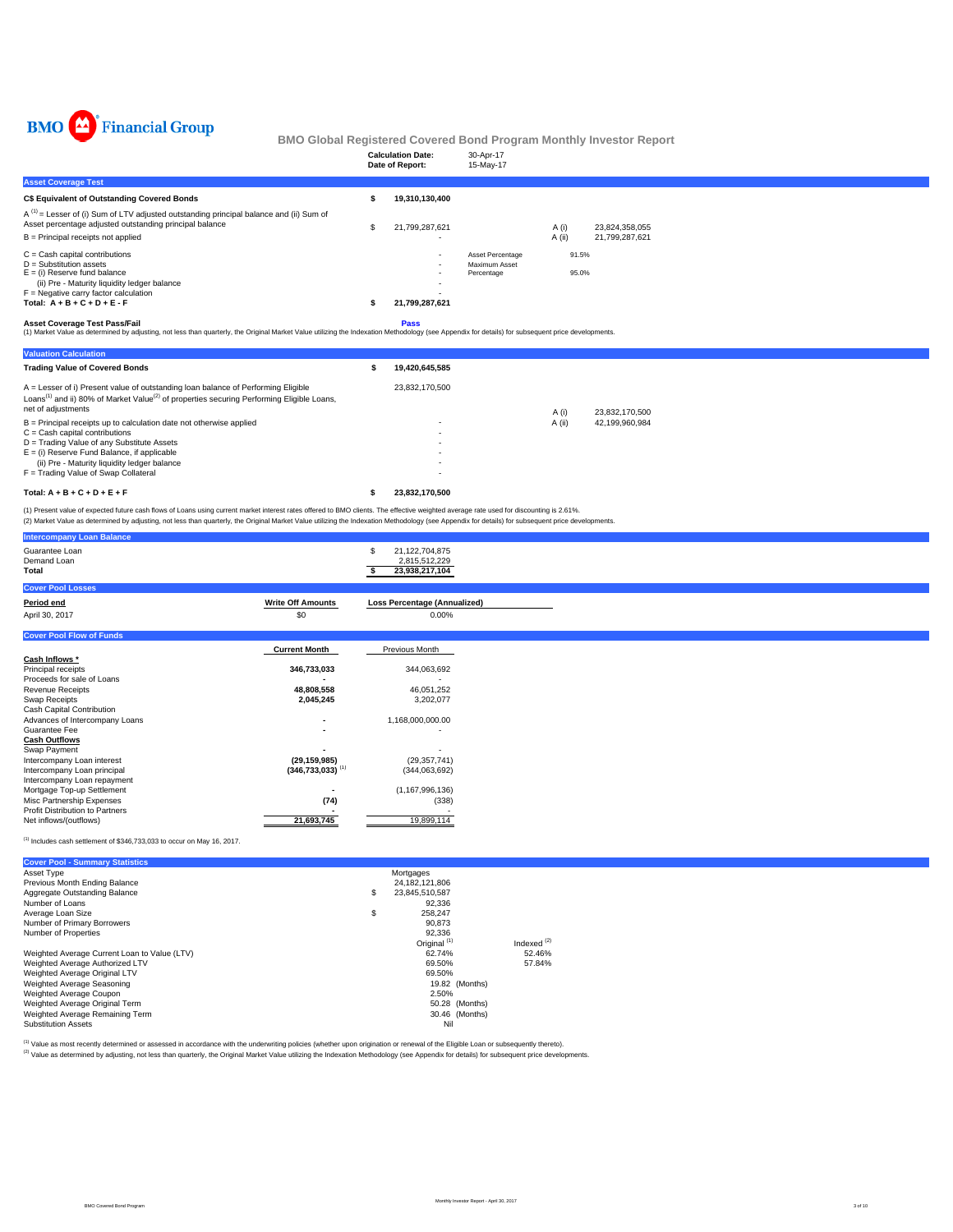

|                                                                                                                                                                                                                                            | <b>Calculation Date:</b><br>Date of Report: | 30-Apr-17<br>15-May-17      |        |                |  |
|--------------------------------------------------------------------------------------------------------------------------------------------------------------------------------------------------------------------------------------------|---------------------------------------------|-----------------------------|--------|----------------|--|
| <b>Asset Coverage Test</b>                                                                                                                                                                                                                 |                                             |                             |        |                |  |
| C\$ Equivalent of Outstanding Covered Bonds                                                                                                                                                                                                | 19,310,130,400                              |                             |        |                |  |
| $A^{(1)}$ = Lesser of (i) Sum of LTV adjusted outstanding principal balance and (ii) Sum of<br>Asset percentage adjusted outstanding principal balance                                                                                     | 21,799,287,621                              |                             | A (i)  | 23,824,358,055 |  |
| $B =$ Principal receipts not applied                                                                                                                                                                                                       |                                             |                             | A (ii) | 21.799.287.621 |  |
| $C =$ Cash capital contributions                                                                                                                                                                                                           | $\overline{\phantom{a}}$                    | Asset Percentage            | 91.5%  |                |  |
| $D =$ Substitution assets<br>$E =$ (i) Reserve fund balance<br>(ii) Pre - Maturity liquidity ledger balance                                                                                                                                |                                             | Maximum Asset<br>Percentage | 95.0%  |                |  |
| $F =$ Negative carry factor calculation                                                                                                                                                                                                    | ۰                                           |                             |        |                |  |
| Total: $A + B + C + D + E - F$                                                                                                                                                                                                             | 21,799,287,621                              |                             |        |                |  |
| <b>Asset Coverage Test Pass/Fail</b><br>(1) Market Value as determined by adjusting, not less than quarterly, the Original Market Value utilizing the Indexation Methodology (see Appendix for details) for subsequent price developments. | <b>Pass</b>                                 |                             |        |                |  |

| <b>Valuation Calculation</b>                                                                                                                                                                                                 |                |        |                |
|------------------------------------------------------------------------------------------------------------------------------------------------------------------------------------------------------------------------------|----------------|--------|----------------|
| <b>Trading Value of Covered Bonds</b>                                                                                                                                                                                        | 19.420.645.585 |        |                |
| A = Lesser of i) Present value of outstanding loan balance of Performing Eligible<br>Loans <sup>(1)</sup> and ii) 80% of Market Value <sup>(2)</sup> of properties securing Performing Eligible Loans,<br>net of adjustments | 23.832.170.500 | A (i)  | 23,832,170,500 |
| $B =$ Principal receipts up to calculation date not otherwise applied                                                                                                                                                        | ٠              | A (ii) | 42.199.960.984 |
| $C =$ Cash capital contributions                                                                                                                                                                                             | ٠              |        |                |
| D = Trading Value of any Substitute Assets                                                                                                                                                                                   | ۰              |        |                |
| $E =$ (i) Reserve Fund Balance, if applicable                                                                                                                                                                                | ٠              |        |                |
| (ii) Pre - Maturity liquidity ledger balance                                                                                                                                                                                 | ۰              |        |                |
| F = Trading Value of Swap Collateral                                                                                                                                                                                         | ٠              |        |                |
| Total: $A + B + C + D + E + F$                                                                                                                                                                                               | 23.832.170.500 |        |                |

(1) Present value of expected future cash flows of Loans using current market interest rates offered to BMO clients. The effective weighted average rate used for discounting is 2.61%.<br>(2) Market Value as determined by adju

| <b>Intercompany Loan Balance</b>       |                                |                                                   |
|----------------------------------------|--------------------------------|---------------------------------------------------|
| Guarantee Loan<br>Demand Loan<br>Total |                                | 21,122,704,875<br>2,815,512,229<br>23,938,217,104 |
| <b>Cover Pool Losses</b>               |                                |                                                   |
| Period end                             | <b>Write Off Amounts</b>       | <b>Loss Percentage (Annualized)</b>               |
| April 30, 2017                         | \$0                            | 0.00%                                             |
| <b>Cover Pool Flow of Funds</b>        |                                |                                                   |
|                                        | <b>Current Month</b>           | Previous Month                                    |
| Cash Inflows *                         |                                |                                                   |
| Principal receipts                     | 346,733,033                    | 344,063,692                                       |
| Proceeds for sale of Loans             |                                |                                                   |
| Revenue Receipts                       | 48,808,558                     | 46,051,252                                        |
| Swap Receipts                          | 2,045,245                      | 3,202,077                                         |
| Cash Capital Contribution              |                                |                                                   |
| Advances of Intercompany Loans         | ٠                              | 1,168,000,000.00                                  |
| Guarantee Fee                          |                                |                                                   |
| <b>Cash Outflows</b>                   |                                |                                                   |
| Swap Payment                           |                                |                                                   |
| Intercompany Loan interest             | (29, 159, 985)                 | (29, 357, 741)                                    |
| Intercompany Loan principal            | $(346,733,033)$ <sup>(1)</sup> | (344,063,692)                                     |
| Intercompany Loan repayment            |                                |                                                   |
| Mortgage Top-up Settlement             |                                | (1, 167, 996, 136)                                |
| Misc Partnership Expenses              | (74)                           | (338)                                             |
| Profit Distribution to Partners        |                                |                                                   |
| Net inflows/(outflows)                 | 21,693,745                     | 19,899,114                                        |
|                                        |                                |                                                   |

 $<sup>(1)</sup>$  Includes cash settlement of \$346,733,033 to occur on May 16, 2017.</sup>

| <b>Cover Pool - Summary Statistics</b>       |                         |               |
|----------------------------------------------|-------------------------|---------------|
| Asset Type                                   | Mortgages               |               |
| Previous Month Ending Balance                | 24.182.121.806          |               |
| Aggregate Outstanding Balance                | \$<br>23.845.510.587    |               |
| Number of Loans                              | 92.336                  |               |
| Average Loan Size                            | \$<br>258.247           |               |
| Number of Primary Borrowers                  | 90.873                  |               |
| Number of Properties                         | 92.336                  |               |
|                                              | Original <sup>(1)</sup> | Indexed $(2)$ |
| Weighted Average Current Loan to Value (LTV) | 62.74%                  | 52.46%        |
| Weighted Average Authorized LTV              | 69.50%                  | 57.84%        |
| Weighted Average Original LTV                | 69.50%                  |               |
| Weighted Average Seasoning                   | 19.82 (Months)          |               |
| Weighted Average Coupon                      | 2.50%                   |               |
| Weighted Average Original Term               | 50.28 (Months)          |               |
| Weighted Average Remaining Term              | 30.46 (Months)          |               |
| <b>Substitution Assets</b>                   | Nil                     |               |

<sup>(1)</sup> Value as most recently determined or assessed in accordance with the underwriting policies (whether upon origination or renewal of the Eligible Loan or subsequently thereto).<br><sup>(2)</sup> Value as determined by adjusting, n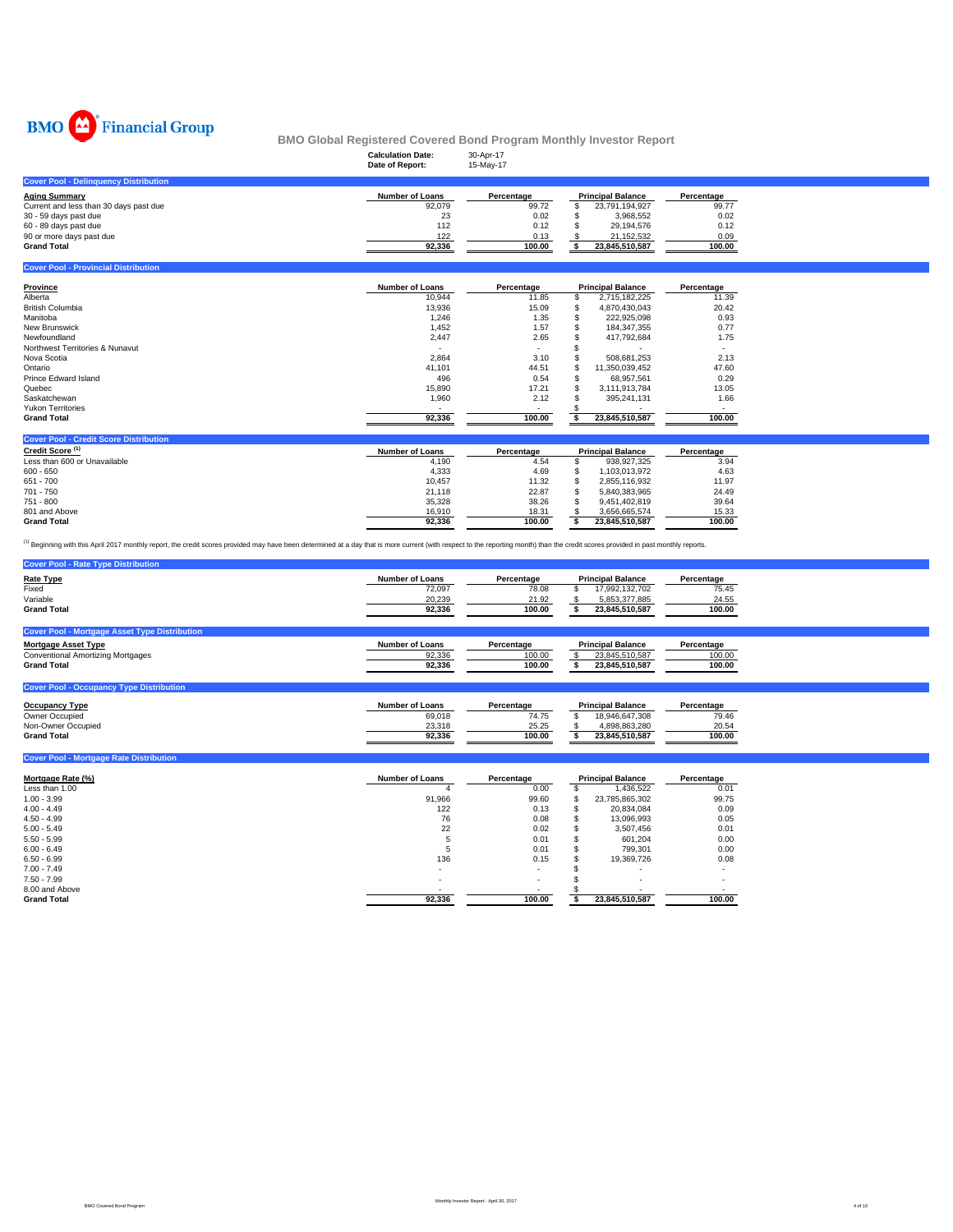

|                                              | <b>Calculation Date:</b><br>Date of Report: | 30-Apr-17<br>15-May-17 |                          |            |
|----------------------------------------------|---------------------------------------------|------------------------|--------------------------|------------|
| <b>Cover Pool - Delinguency Distribution</b> |                                             |                        |                          |            |
| <b>Aging Summary</b>                         | <b>Number of Loans</b>                      | Percentage             | <b>Principal Balance</b> | Percentage |
| Current and less than 30 days past due       | 92.079                                      | 99.72                  | 23.791.194.927           | 99.77      |
| 30 - 59 days past due                        | 23                                          | 0.02                   | 3.968.552                | 0.02       |
| 60 - 89 days past due                        | 112                                         | 0.12                   | 29,194,576               | 0.12       |
| 90 or more days past due                     | 122                                         | 0.13                   | 21.152.532               | 0.09       |
| <b>Grand Total</b>                           | 92.336                                      | 100.00                 | 23.845.510.587           | 100.00     |
|                                              |                                             |                        |                          |            |

| <b>Cover Pool - Provincial Distribution</b> |                          |            |                          |            |
|---------------------------------------------|--------------------------|------------|--------------------------|------------|
| Province                                    | <b>Number of Loans</b>   | Percentage | <b>Principal Balance</b> | Percentage |
| Alberta                                     | 10,944                   | 11.85      | 2,715,182,225            | 11.39      |
| <b>British Columbia</b>                     | 13,936                   | 15.09      | 4,870,430,043            | 20.42      |
| Manitoba                                    | 1,246                    | 1.35       | 222.925.098              | 0.93       |
| New Brunswick                               | 1,452                    | 1.57       | 184,347,355              | 0.77       |
| Newfoundland                                | 2,447                    | 2.65       | 417.792.684              | 1.75       |
| Northwest Territories & Nunavut             | $\overline{\phantom{a}}$ | ٠          |                          |            |
| Nova Scotia                                 | 2,864                    | 3.10       | 508.681.253              | 2.13       |
| Ontario                                     | 41,101                   | 44.51      | 11,350,039,452           | 47.60      |
| <b>Prince Edward Island</b>                 | 496                      | 0.54       | 68.957.561               | 0.29       |
| Quebec                                      | 15.890                   | 17.21      | 3.111.913.784            | 13.05      |
| Saskatchewan                                | 1,960                    | 2.12       | 395.241.131              | 1.66       |
| <b>Yukon Territories</b>                    |                          |            |                          | . .        |
| <b>Grand Total</b>                          | 92,336                   | 100.00     | 23,845,510,587           | 100.00     |

| <b>Cover Pool - Credit Score Distribution</b> |                        |            |                          |            |
|-----------------------------------------------|------------------------|------------|--------------------------|------------|
| Credit Score <sup>(1)</sup>                   | <b>Number of Loans</b> | Percentage | <b>Principal Balance</b> | Percentage |
| Less than 600 or Unavailable                  | 4,190                  | 4.54       | 938.927.325              | 3.94       |
| $600 - 650$                                   | 4,333                  | 4.69       | 1.103.013.972            | 4.63       |
| 651 - 700                                     | 10.457                 | 11.32      | 2.855.116.932            | 11.97      |
| $701 - 750$                                   | 21.118                 | 22.87      | 5.840.383.965            | 24.49      |
| 751 - 800                                     | 35,328                 | 38.26      | 9.451.402.819            | 39.64      |
| 801 and Above                                 | 16,910                 | 18.31      | 3.656.665.574            | 15.33      |
| <b>Grand Total</b>                            | 92.336                 | 100.00     | 23.845.510.587           | 100.00     |
|                                               |                        |            |                          |            |

<sup>(1)</sup> Beginning with this April 2017 monthly report, the credit scores provided may have been determined at a day that is more current (with respect to the reporting month) than the credit scores provided in past monthly r

| <b>Cover Pool - Rate Type Distribution</b>           |                        |            |                          |            |
|------------------------------------------------------|------------------------|------------|--------------------------|------------|
| Rate Type                                            | <b>Number of Loans</b> | Percentage | <b>Principal Balance</b> | Percentage |
| Fixed                                                | 72,097                 | 78.08      | 17,992,132,702           | 75.45      |
| Variable                                             | 20,239                 | 21.92      | 5.853.377.885            | 24.55      |
| <b>Grand Total</b>                                   | 92,336                 | 100.00     | 23,845,510,587           | 100.00     |
|                                                      |                        |            |                          |            |
| <b>Cover Pool - Mortgage Asset Type Distribution</b> |                        |            |                          |            |
|                                                      |                        |            |                          |            |
| <b>Mortgage Asset Type</b>                           | <b>Number of Loans</b> | Percentage | <b>Principal Balance</b> | Percentage |
| <b>Conventional Amortizing Mortgages</b>             | 92,336                 | 100.00     | 23,845,510,587           | 100.00     |
| <b>Grand Total</b>                                   | 92,336                 | 100.00     | 23,845,510,587           | 100.00     |
|                                                      |                        |            |                          |            |

| <b>Occupancy Type</b> | <b>Number of Loans</b> | Percentage | <b>Principal Balance</b> | Percentage |
|-----------------------|------------------------|------------|--------------------------|------------|
| Owner Occupied        | 69.018                 | 74.75      | 18.946.647.308           | 79.46      |
| Non-Owner Occupied    | 23.318                 | 25.25      | 4.898.863.280            | 20.54      |
| <b>Grand Total</b>    | 92.336                 | 100.00     | 23.845.510.587           | 100.00     |

| ____               |                        |            |   |                          |            |
|--------------------|------------------------|------------|---|--------------------------|------------|
| Mortgage Rate (%)  | <b>Number of Loans</b> | Percentage |   | <b>Principal Balance</b> | Percentage |
| Less than 1.00     |                        | 0.00       |   | 1,436,522                | 0.01       |
| $1.00 - 3.99$      | 91,966                 | 99.60      | ъ | 23,785,865,302           | 99.75      |
| $4.00 - 4.49$      | 122                    | 0.13       |   | 20.834.084               | 0.09       |
| $4.50 - 4.99$      | 76                     | 0.08       |   | 13.096.993               | 0.05       |
| $5.00 - 5.49$      | 22                     | 0.02       |   | 3,507,456                | 0.01       |
| $5.50 - 5.99$      |                        | 0.01       |   | 601.204                  | 0.00       |
| $6.00 - 6.49$      | b.                     | 0.01       |   | 799.301                  | 0.00       |
| $6.50 - 6.99$      | 136                    | 0.15       |   | 19,369,726               | 0.08       |
| $7.00 - 7.49$      |                        |            |   |                          |            |
| $7.50 - 7.99$      |                        | $\sim$     |   |                          |            |
| 8.00 and Above     |                        | $\sim$     |   |                          |            |
| <b>Grand Total</b> | 92,336                 | 100.00     |   | 23.845.510.587           | 100.00     |

**Cover Bool - Mortgage Rate Distribution**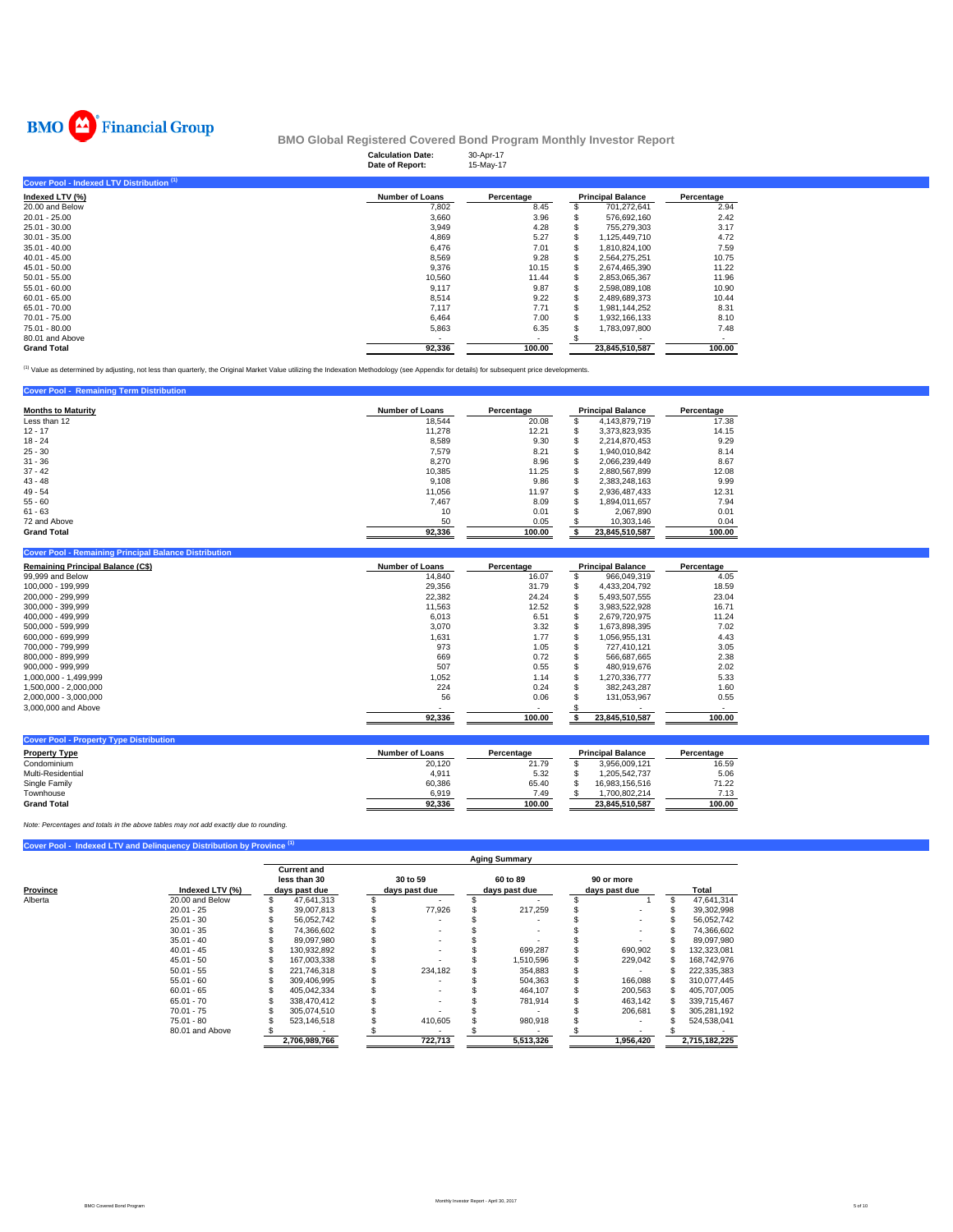

|                                           | <b>Calculation Date:</b><br>Date of Report: | 30-Apr-17<br>15-May-17 |                          |                |            |
|-------------------------------------------|---------------------------------------------|------------------------|--------------------------|----------------|------------|
| Cover Pool - Indexed LTV Distribution (1) |                                             |                        |                          |                |            |
| Indexed LTV (%)                           | <b>Number of Loans</b>                      | Percentage             | <b>Principal Balance</b> |                | Percentage |
| 20.00 and Below                           | 7,802                                       | 8.45                   |                          | 701,272,641    | 2.94       |
| $20.01 - 25.00$                           | 3,660                                       | 3.96                   |                          | 576,692,160    | 2.42       |
| $25.01 - 30.00$                           | 3,949                                       | 4.28                   |                          | 755.279.303    | 3.17       |
| $30.01 - 35.00$                           | 4,869                                       | 5.27                   |                          | 1.125.449.710  | 4.72       |
| $35.01 - 40.00$                           | 6,476                                       | 7.01                   |                          | 1,810,824,100  | 7.59       |
| $40.01 - 45.00$                           | 8,569                                       | 9.28                   |                          | 2,564,275,251  | 10.75      |
| 45.01 - 50.00                             | 9,376                                       | 10.15                  |                          | 2,674,465,390  | 11.22      |
| $50.01 - 55.00$                           | 10,560                                      | 11.44                  |                          | 2,853,065,367  | 11.96      |
| $55.01 - 60.00$                           | 9,117                                       | 9.87                   |                          | 2,598,089,108  | 10.90      |
| $60.01 - 65.00$                           | 8,514                                       | 9.22                   |                          | 2,489,689,373  | 10.44      |
| 65.01 - 70.00                             | 7,117                                       | 7.71                   |                          | 1,981,144,252  | 8.31       |
| 70.01 - 75.00                             | 6,464                                       | 7.00                   |                          | 1,932,166,133  | 8.10       |
| 75.01 - 80.00                             | 5,863                                       | 6.35                   |                          | 1,783,097,800  | 7.48       |
| 80.01 and Above                           |                                             |                        |                          |                |            |
| <b>Grand Total</b>                        | 92,336                                      | 100.00                 |                          | 23,845,510,587 | 100.00     |

(1) Value as determined by adjusting, not less than quarterly, the Original Market Value utilizing the Indexation Methodology (see Appendix for details) for subsequent price developments.

#### **Cover Pool - Remaining Term Distribution**

| <b>Months to Maturity</b> | <b>Number of Loans</b> | Percentage | <b>Principal Balance</b> |                | Percentage |
|---------------------------|------------------------|------------|--------------------------|----------------|------------|
|                           |                        |            |                          |                |            |
| Less than 12              | 18.544                 | 20.08      | Эħ.                      | 4.143.879.719  | 17.38      |
| $12 - 17$                 | 11.278                 | 12.21      | J.                       | 3,373,823,935  | 14.15      |
| $18 - 24$                 | 8,589                  | 9.30       | \$.                      | 2.214.870.453  | 9.29       |
| $25 - 30$                 | 7.579                  | 8.21       | \$.                      | 1.940.010.842  | 8.14       |
| $31 - 36$                 | 8,270                  | 8.96       | -J)                      | 2,066,239,449  | 8.67       |
| $37 - 42$                 | 10,385                 | 11.25      | S                        | 2.880.567.899  | 12.08      |
| $43 - 48$                 | 9,108                  | 9.86       | \$.                      | 2,383,248,163  | 9.99       |
| $49 - 54$                 | 11,056                 | 11.97      | ъ                        | 2.936.487.433  | 12.31      |
| $55 - 60$                 | 7.467                  | 8.09       | æ                        | 1.894.011.657  | 7.94       |
| $61 - 63$                 | 10                     | 0.01       | ъ                        | 2.067.890      | 0.01       |
| 72 and Above              | 50                     | 0.05       |                          | 10.303.146     | 0.04       |
| <b>Grand Total</b>        | 92,336                 | 100.00     |                          | 23,845,510,587 | 100.00     |

| <b>Cover Pool - Remaining Principal Balance Distribution</b> |                        |            |    |                          |            |
|--------------------------------------------------------------|------------------------|------------|----|--------------------------|------------|
| <b>Remaining Principal Balance (C\$)</b>                     | <b>Number of Loans</b> | Percentage |    | <b>Principal Balance</b> | Percentage |
| 99,999 and Below                                             | 14,840                 | 16.07      |    | 966,049,319              | 4.05       |
| 100.000 - 199.999                                            | 29,356                 | 31.79      | S  | 4.433.204.792            | 18.59      |
| 200.000 - 299.999                                            | 22,382                 | 24.24      | S  | 5.493.507.555            | 23.04      |
| 300,000 - 399,999                                            | 11,563                 | 12.52      | £. | 3,983,522,928            | 16.71      |
| 400.000 - 499.999                                            | 6,013                  | 6.51       | S  | 2,679,720,975            | 11.24      |
| 500.000 - 599.999                                            | 3,070                  | 3.32       | Ж, | 1.673.898.395            | 7.02       |
| 600.000 - 699.999                                            | 1,631                  | 1.77       | ж  | 1,056,955,131            | 4.43       |
| 700.000 - 799.999                                            | 973                    | 1.05       | S  | 727.410.121              | 3.05       |
| 800.000 - 899.999                                            | 669                    | 0.72       |    | 566.687.665              | 2.38       |
| $900.000 - 999.999$                                          | 507                    | 0.55       |    | 480.919.676              | 2.02       |
| 1.000.000 - 1.499.999                                        | 1,052                  | 1.14       |    | .270.336.777             | 5.33       |
| 1,500,000 - 2,000,000                                        | 224                    | 0.24       | S  | 382.243.287              | 1.60       |
| 2,000,000 - 3,000,000                                        | 56                     | 0.06       |    | 131,053,967              | 0.55       |
| 3,000,000 and Above                                          |                        |            |    |                          |            |
|                                                              | 92,336                 | 100.00     |    | 23,845,510,587           | 100.00     |
|                                                              |                        |            |    |                          |            |

| <b>Cover Pool - Property Type Distribution</b> |                        |            |                          |                |            |
|------------------------------------------------|------------------------|------------|--------------------------|----------------|------------|
| <b>Property Type</b>                           | <b>Number of Loans</b> | Percentage | <b>Principal Balance</b> |                | Percentage |
| Condominium                                    | 20.120                 | 21.79      |                          | 3.956.009.121  | 16.59      |
| Multi-Residential                              | 4.911                  | 5.32       |                          | 1.205.542.737  | 5.06       |
| Single Family                                  | 60,386                 | 65.40      |                          | 16.983.156.516 | 71.22      |
| Townhouse                                      | 6.919                  | 7.49       |                          | .700.802.214   | 7.13       |
| <b>Grand Total</b>                             | 92.336                 | 100.00     |                          | 23.845.510.587 | 100.00     |

*Note: Percentages and totals in the above tables may not add exactly due to rounding.*

### **Cover Pool - Indexed LTV and Delinquency Distribution by Province (1)**

|          |                 | <b>Aging Summary</b> |                                                     |  |                           |  |                           |                             |           |  |               |  |  |  |
|----------|-----------------|----------------------|-----------------------------------------------------|--|---------------------------|--|---------------------------|-----------------------------|-----------|--|---------------|--|--|--|
| Province | Indexed LTV (%) |                      | <b>Current and</b><br>less than 30<br>days past due |  | 30 to 59<br>days past due |  | 60 to 89<br>days past due | 90 or more<br>days past due |           |  | Total         |  |  |  |
| Alberta  | 20.00 and Below |                      | 47.641.313                                          |  |                           |  |                           |                             |           |  | 47.641.314    |  |  |  |
|          | $20.01 - 25$    |                      | 39.007.813                                          |  | 77.926                    |  | 217.259                   |                             |           |  | 39.302.998    |  |  |  |
|          | $25.01 - 30$    |                      | 56.052.742                                          |  |                           |  |                           |                             | ۰         |  | 56,052,742    |  |  |  |
|          | $30.01 - 35$    |                      | 74.366.602                                          |  |                           |  |                           |                             | ۰         |  | 74.366.602    |  |  |  |
|          | $35.01 - 40$    |                      | 89.097.980                                          |  |                           |  |                           |                             |           |  | 89.097.980    |  |  |  |
|          | $40.01 - 45$    |                      | 130,932,892                                         |  |                           |  | 699,287                   |                             | 690,902   |  | 132,323,081   |  |  |  |
|          | $45.01 - 50$    |                      | 167,003,338                                         |  |                           |  | 1,510,596                 |                             | 229,042   |  | 168,742,976   |  |  |  |
|          | $50.01 - 55$    |                      | 221.746.318                                         |  | 234,182                   |  | 354,883                   |                             |           |  | 222,335,383   |  |  |  |
|          | $55.01 - 60$    |                      | 309.406.995                                         |  |                           |  | 504,363                   |                             | 166.088   |  | 310,077,445   |  |  |  |
|          | $60.01 - 65$    |                      | 405.042.334                                         |  |                           |  | 464,107                   |                             | 200.563   |  | 405,707,005   |  |  |  |
|          | $65.01 - 70$    |                      | 338.470.412                                         |  |                           |  | 781,914                   |                             | 463.142   |  | 339.715.467   |  |  |  |
|          | $70.01 - 75$    |                      | 305.074.510                                         |  |                           |  |                           |                             | 206.681   |  | 305,281,192   |  |  |  |
|          | $75.01 - 80$    |                      | 523,146,518                                         |  | 410,605                   |  | 980,918                   |                             |           |  | 524,538,041   |  |  |  |
|          | 80.01 and Above |                      |                                                     |  |                           |  |                           |                             |           |  |               |  |  |  |
|          |                 |                      | 2.706.989.766                                       |  | 722,713                   |  | 5,513,326                 |                             | 1.956.420 |  | 2.715.182.225 |  |  |  |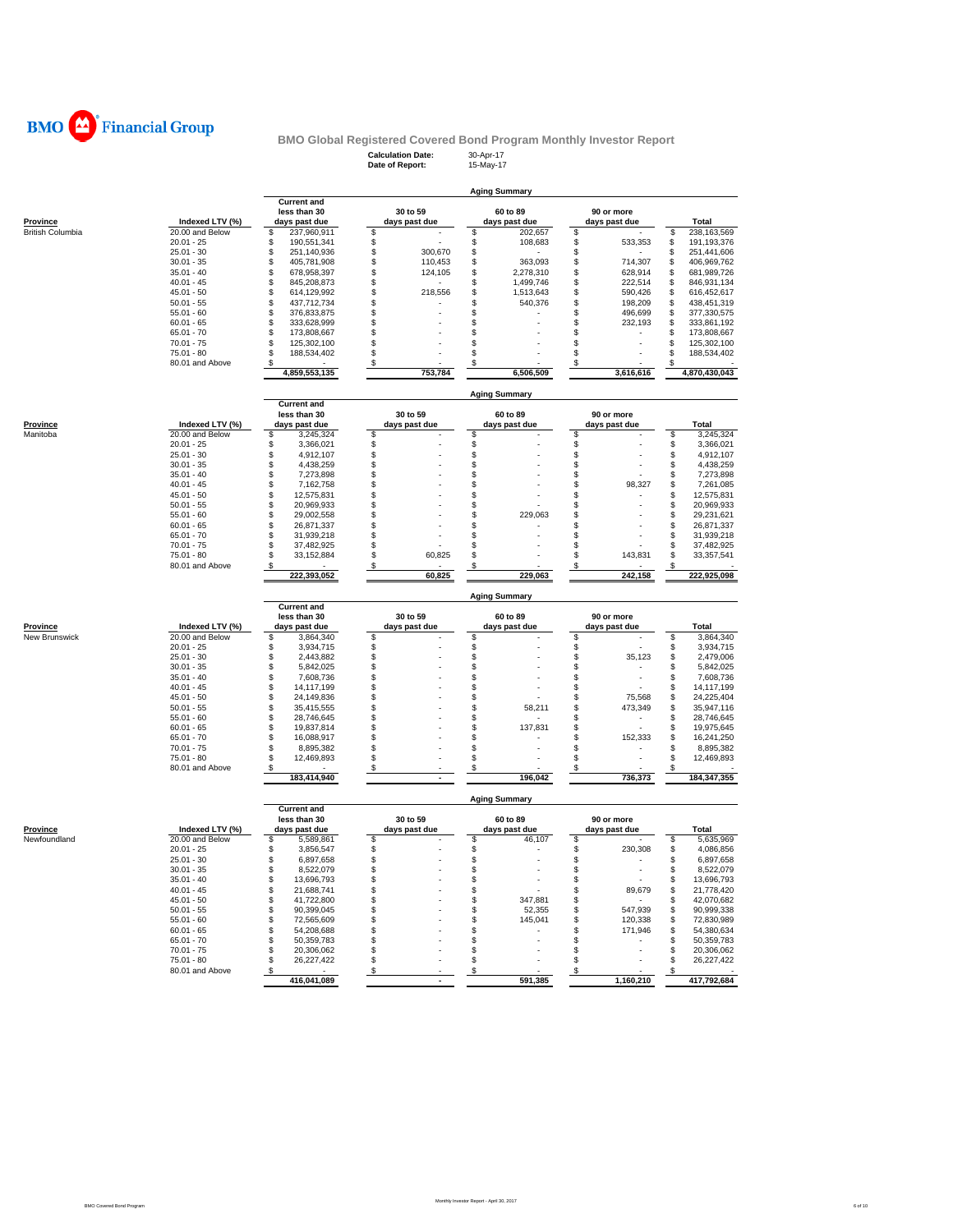

## **Calculation Date:** 30-Apr-17 **Date of Report:** 15-May-17 **BMO Global Registered Covered Bond Program Monthly Investor Report**

|                         | <b>Aging Summary</b>               |    |                                    |          |               |          |                      |            |               |    |               |  |  |  |
|-------------------------|------------------------------------|----|------------------------------------|----------|---------------|----------|----------------------|------------|---------------|----|---------------|--|--|--|
|                         |                                    |    | <b>Current and</b><br>less than 30 |          | 30 to 59      |          | 60 to 89             | 90 or more |               |    |               |  |  |  |
| Province                | Indexed LTV (%)                    |    | days past due                      |          | days past due |          | days past due        |            | days past due |    | Total         |  |  |  |
| <b>British Columbia</b> | 20.00 and Below                    | \$ | 237,960,911                        | \$       |               | \$       | 202,657              | \$         |               | \$ | 238,163,569   |  |  |  |
|                         | $20.01 - 25$                       | \$ | 190,551,341                        | \$       |               | \$       | 108,683              | \$         | 533,353       | \$ | 191,193,376   |  |  |  |
|                         | $25.01 - 30$                       | \$ | 251,140,936                        | \$       | 300,670       | \$       |                      | S          |               | \$ | 251,441,606   |  |  |  |
|                         | $30.01 - 35$                       | \$ | 405,781,908                        | \$       | 110,453       | \$       | 363,093              | \$         | 714,307       | \$ | 406,969,762   |  |  |  |
|                         | $35.01 - 40$                       | \$ | 678,958,397                        | \$       | 124,105       | \$       | 2,278,310            | S          | 628,914       | \$ | 681,989,726   |  |  |  |
|                         | $40.01 - 45$                       | \$ | 845,208,873                        | \$       |               | \$       | 1,499,746            | \$         | 222,514       | \$ | 846,931,134   |  |  |  |
|                         | $45.01 - 50$                       | \$ | 614,129,992                        | \$       | 218,556       | \$       | 1,513,643            | \$         | 590,426       | \$ | 616,452,617   |  |  |  |
|                         | $50.01 - 55$                       | \$ | 437,712,734                        | \$       |               | \$       | 540,376              | \$         | 198,209       | \$ | 438,451,319   |  |  |  |
|                         | $55.01 - 60$                       | \$ | 376,833,875                        | \$       |               | \$       |                      | \$         | 496,699       | \$ | 377,330,575   |  |  |  |
|                         | $60.01 - 65$                       | \$ | 333,628,999                        | \$       |               | \$       |                      | \$         | 232,193       | \$ | 333,861,192   |  |  |  |
|                         | $65.01 - 70$                       | \$ | 173,808,667                        | \$       |               | \$       |                      | S          |               | \$ | 173,808,667   |  |  |  |
|                         | $70.01 - 75$                       | \$ | 125,302,100                        | \$       |               | \$       |                      | S          |               | \$ | 125,302,100   |  |  |  |
|                         | $75.01 - 80$                       | \$ | 188,534,402                        | \$       |               | \$       |                      | \$         |               | \$ | 188,534,402   |  |  |  |
|                         | 80.01 and Above                    | \$ |                                    | \$       |               | \$       |                      | \$         |               | \$ |               |  |  |  |
|                         |                                    |    | 4,859,553,135                      |          | 753,784       |          | 6,506,509            |            | 3,616,616     |    | 4,870,430,043 |  |  |  |
|                         |                                    |    |                                    |          |               |          | <b>Aging Summary</b> |            |               |    |               |  |  |  |
|                         |                                    |    | <b>Current and</b><br>less than 30 |          | 30 to 59      |          | 60 to 89             |            | 90 or more    |    |               |  |  |  |
| Province                |                                    |    |                                    |          | days past due |          |                      |            | days past due |    | Total         |  |  |  |
| Manitoba                | Indexed LTV (%)<br>20.00 and Below | \$ | days past due                      |          |               |          | days past due        |            |               | S  |               |  |  |  |
|                         |                                    |    | 3,245,324                          | \$       |               | \$       |                      | \$<br>\$   |               |    | 3,245,324     |  |  |  |
|                         | $20.01 - 25$                       | S  | 3,366,021                          | \$<br>\$ |               | \$<br>\$ |                      | \$         |               | \$ | 3,366,021     |  |  |  |
|                         | $25.01 - 30$                       | \$ | 4,912,107                          |          |               |          |                      |            |               | \$ | 4,912,107     |  |  |  |
|                         | $30.01 - 35$                       | \$ | 4,438,259                          | \$       |               | \$       |                      | \$         |               | S  | 4,438,259     |  |  |  |
|                         | $35.01 - 40$                       | \$ | 7,273,898                          | \$       |               | \$       |                      | \$         |               | \$ | 7,273,898     |  |  |  |
|                         | $40.01 - 45$                       | \$ | 7,162,758                          | \$       |               | \$       |                      | S          | 98,327        | \$ | 7,261,085     |  |  |  |
|                         | $45.01 - 50$                       | \$ | 12,575,831                         | \$       |               | \$       |                      | S          |               | S  | 12,575,831    |  |  |  |
|                         | $50.01 - 55$                       | \$ | 20,969,933                         | \$       |               | \$       |                      | S          |               | S  | 20,969,933    |  |  |  |
|                         | $55.01 - 60$                       | \$ | 29,002,558                         | \$       |               | \$       | 229,063              | S          |               | S  | 29,231,621    |  |  |  |
|                         | $60.01 - 65$                       | \$ | 26,871,337                         | \$       |               | \$       |                      | S          |               | S  | 26,871,337    |  |  |  |
|                         | $65.01 - 70$                       | \$ | 31,939,218                         | \$       |               | \$       |                      | S          |               | \$ | 31,939,218    |  |  |  |
|                         | $70.01 - 75$                       | \$ | 37,482,925                         | \$       |               | \$       |                      | \$.        |               | S  | 37,482,925    |  |  |  |
|                         | $75.01 - 80$                       | \$ | 33, 152, 884                       | \$       | 60,825        | \$       |                      | \$         | 143,831       | \$ | 33,357,541    |  |  |  |
|                         | 80.01 and Above                    | \$ |                                    | \$       |               | \$       |                      | S          |               | S  |               |  |  |  |
|                         |                                    |    | 222,393,052                        |          | 60,825        |          | 229,063              |            | 242,158       |    | 222,925,098   |  |  |  |
|                         |                                    |    |                                    |          |               |          | <b>Aging Summary</b> |            |               |    |               |  |  |  |
|                         |                                    |    | <b>Current and</b><br>less than 30 |          | 30 to 59      |          | 60 to 89             |            | 90 or more    |    |               |  |  |  |
| Province                | Indexed LTV (%)                    |    | days past due                      |          | days past due |          | days past due        |            | days past due |    | Total         |  |  |  |
| New Brunswick           | 20.00 and Below                    | \$ | 3,864,340                          | \$       |               | \$       |                      | \$         |               | S  | 3,864,340     |  |  |  |
|                         | $20.01 - 25$                       | \$ | 3,934,715                          | \$       |               | \$       |                      | \$         |               | S  | 3,934,715     |  |  |  |
|                         |                                    |    |                                    |          |               |          |                      |            |               |    |               |  |  |  |
|                         | $25.01 - 30$                       | \$ | 2,443,882                          | \$       |               | \$       |                      | \$         | 35,123        | S  | 2,479,006     |  |  |  |
|                         | $30.01 - 35$                       | \$ | 5,842,025                          | \$       |               | \$       |                      | S          |               | S  | 5,842,025     |  |  |  |
|                         | $35.01 - 40$                       | \$ | 7,608,736                          | \$       |               | \$       |                      | S          |               | S  | 7,608,736     |  |  |  |
|                         | $40.01 - 45$                       | \$ | 14,117,199                         | \$       |               | \$       |                      | S          |               | S  | 14,117,199    |  |  |  |
|                         | $45.01 - 50$                       | \$ | 24,149,836                         | \$       |               | \$       |                      | \$         | 75,568        | S  | 24,225,404    |  |  |  |
|                         | $50.01 - 55$                       | \$ | 35,415,555                         | \$       |               | \$       | 58,211               | \$         | 473,349       | \$ | 35,947,116    |  |  |  |
|                         | $55.01 - 60$                       | \$ | 28,746,645                         | \$       |               | \$       |                      | \$         |               | \$ | 28,746,645    |  |  |  |
|                         | $60.01 - 65$                       | \$ | 19,837,814                         | \$       |               | \$       | 137,831              | \$         |               | S  | 19,975,645    |  |  |  |
|                         | $65.01 - 70$                       | \$ | 16,088,917                         | \$       |               | \$       |                      | S          | 152,333       | S  | 16,241,250    |  |  |  |
|                         | $70.01 - 75$                       | \$ | 8,895,382                          | \$       |               | \$       |                      | S          |               | \$ | 8,895,382     |  |  |  |
|                         | $75.01 - 80$                       | \$ | 12,469,893                         | \$       |               | \$       |                      | S          |               | \$ | 12,469,893    |  |  |  |
|                         | 80.01 and Above                    | \$ |                                    | \$       |               | \$       |                      | \$         |               | \$ |               |  |  |  |
|                         |                                    |    | 183,414,940                        |          |               |          | 196.042              |            | 736,373       |    | 184,347,355   |  |  |  |

**Aging Summary**

|              |                 |               | <b>Current and</b> |               |          |               |               |             |
|--------------|-----------------|---------------|--------------------|---------------|----------|---------------|---------------|-------------|
|              |                 |               | less than 30       |               | 30 to 59 | 60 to 89      | 90 or more    |             |
| Province     | Indexed LTV (%) | days past due |                    | days past due |          | days past due | days past due | Total       |
| Newfoundland | 20.00 and Below |               | 5.589.861          |               |          | 46,107        |               | 5,635,969   |
|              | $20.01 - 25$    |               | 3.856.547          |               |          |               | 230.308       | 4,086,856   |
|              | $25.01 - 30$    |               | 6,897,658          |               |          |               |               | 6,897,658   |
|              | $30.01 - 35$    |               | 8.522.079          |               |          |               |               | 8.522.079   |
|              | $35.01 - 40$    |               | 13.696.793         |               |          |               |               | 13,696,793  |
|              | $40.01 - 45$    |               | 21.688.741         |               |          |               | 89.679        | 21.778.420  |
|              | $45.01 - 50$    |               | 41,722,800         |               |          | 347.881       |               | 42,070,682  |
|              | $50.01 - 55$    |               | 90.399.045         |               |          | 52.355        | 547.939       | 90,999,338  |
|              | $55.01 - 60$    |               | 72.565.609         |               |          | 145.041       | 120,338       | 72,830,989  |
|              | $60.01 - 65$    |               | 54.208.688         |               |          |               | 171.946       | 54,380,634  |
|              | $65.01 - 70$    |               | 50.359.783         |               |          |               |               | 50.359.783  |
|              | $70.01 - 75$    |               | 20,306,062         |               |          |               |               | 20,306,062  |
|              | $75.01 - 80$    |               | 26.227.422         |               |          |               |               | 26.227.422  |
|              | 80.01 and Above |               |                    |               |          |               |               |             |
|              |                 |               | 416.041.089        |               |          | 591.385       | 1.160.210     | 417.792.684 |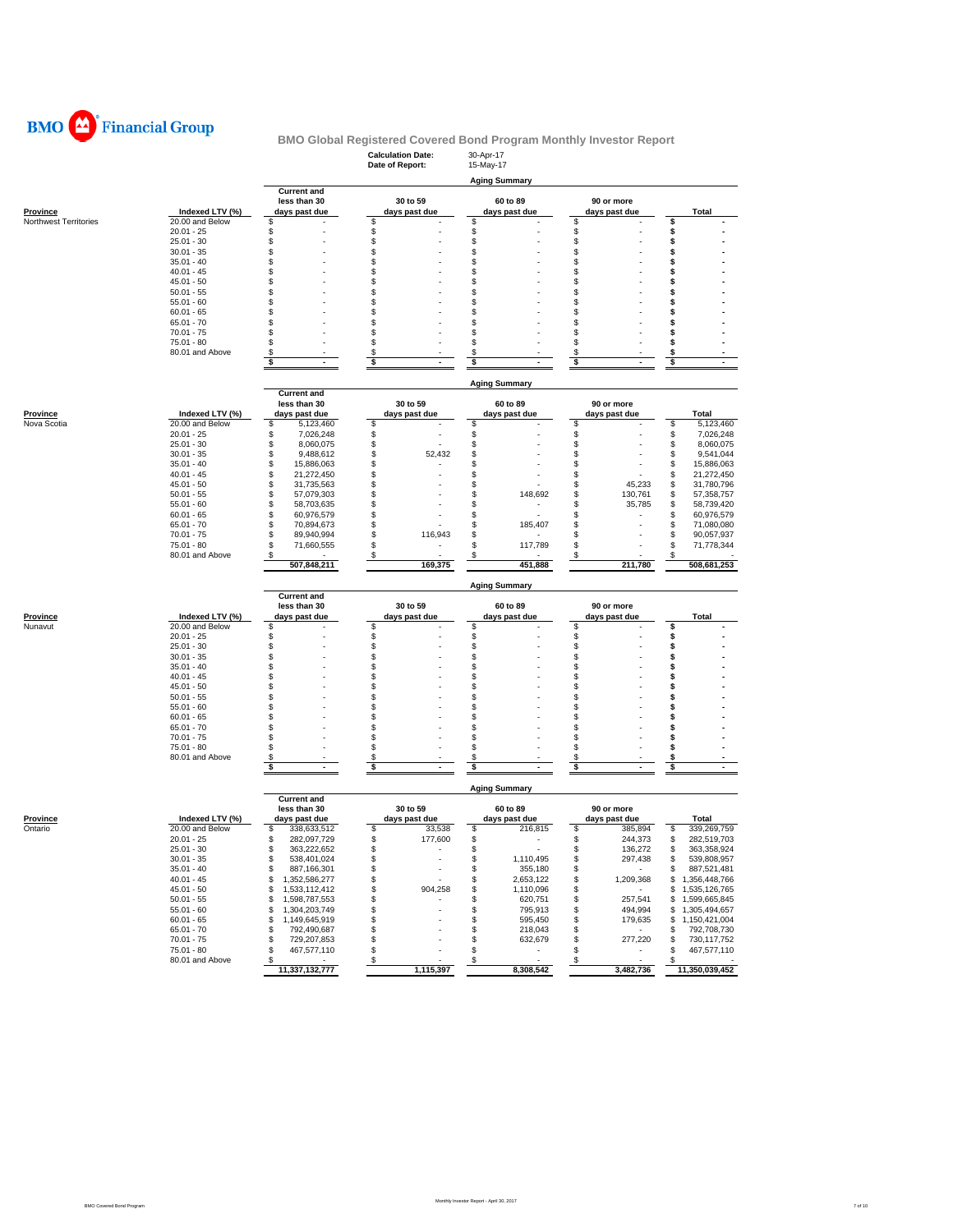

|                       |                              |                               | <b>Calculation Date:</b><br>Date of Report: | 30-Apr-17<br>15-May-17    |                             |                     |
|-----------------------|------------------------------|-------------------------------|---------------------------------------------|---------------------------|-----------------------------|---------------------|
|                       |                              |                               |                                             | <b>Aging Summary</b>      |                             |                     |
|                       |                              | <b>Current and</b>            |                                             |                           |                             |                     |
| <u>Province</u>       | Indexed LTV (%)              | less than 30<br>days past due | 30 to 59<br>days past due                   | 60 to 89<br>days past due | 90 or more<br>days past due | Total               |
| Northwest Territories | 20.00 and Below              | \$                            | \$                                          | \$                        | \$                          | \$                  |
|                       | $20.01 - 25$                 | \$                            | \$                                          | \$                        | \$                          | \$                  |
|                       | $25.01 - 30$                 | \$                            | \$                                          | \$                        | \$                          | \$                  |
|                       | $30.01 - 35$                 | \$                            | \$                                          | \$                        | \$                          | \$                  |
|                       | $35.01 - 40$                 | \$                            | \$                                          | \$                        | \$                          | s                   |
|                       | $40.01 - 45$                 | \$                            | \$                                          | \$                        | \$                          | s                   |
|                       | $45.01 - 50$                 | \$                            | S                                           | \$                        | \$                          | S                   |
|                       | $50.01 - 55$                 | \$                            | S                                           | \$                        | \$                          | \$                  |
|                       | $55.01 - 60$                 | \$                            | S                                           | \$                        | \$                          | \$                  |
|                       | $60.01 - 65$                 | \$                            | S                                           | \$                        | \$                          |                     |
|                       | $65.01 - 70$                 | \$                            | S                                           | \$                        | \$                          | S                   |
|                       | $70.01 - 75$                 | S                             | S                                           | \$                        | \$                          |                     |
|                       | 75.01 - 80                   | S                             | \$                                          | \$                        | \$                          |                     |
|                       | 80.01 and Above              | \$<br>$\sim$                  | \$<br>$\blacksquare$                        | \$                        | \$<br>$\blacksquare$        | \$<br>$\sim$        |
|                       |                              | \$                            | \$                                          | \$                        | \$                          | \$                  |
|                       |                              |                               |                                             | <b>Aging Summary</b>      |                             |                     |
|                       |                              | <b>Current and</b>            |                                             |                           |                             |                     |
|                       |                              | less than 30                  | 30 to 59                                    | 60 to 89                  | 90 or more                  |                     |
| <u>Province</u>       | Indexed LTV (%)              | days past due                 | days past due                               | days past due             | days past due               | Total               |
| Nova Scotia           | 20.00 and Below              | 5,123,460<br>\$               | \$                                          | \$                        | \$                          | \$<br>5,123,460     |
|                       | $20.01 - 25$                 | \$<br>7,026,248               | \$                                          | \$                        | \$                          | \$<br>7,026,248     |
|                       | $25.01 - 30$                 | \$<br>8,060,075               | \$                                          | \$                        | \$                          | \$<br>8,060,075     |
|                       | $30.01 - 35$                 | \$<br>9,488,612               | \$<br>52,432                                | \$                        | \$                          | 9,541,044<br>S      |
|                       | $35.01 - 40$                 | \$<br>15,886,063              | \$                                          | \$                        | \$                          | 15,886,063<br>\$    |
|                       | $40.01 - 45$                 | \$<br>21,272,450              | \$                                          | \$                        | \$                          | \$<br>21,272,450    |
|                       | $45.01 - 50$                 | \$<br>31,735,563              | S                                           | \$                        | 45,233<br>\$                | 31,780,796<br>\$    |
|                       | $50.01 - 55$                 | \$<br>57,079,303              | \$                                          | \$<br>148,692             | 130,761<br>\$               | 57,358,757<br>\$    |
|                       | $55.01 - 60$                 | \$<br>58,703,635              | S                                           | \$                        | 35,785<br>\$                | 58,739,420<br>\$    |
|                       | $60.01 - 65$                 | \$<br>60,976,579              | S                                           | \$                        | \$                          | S<br>60,976,579     |
|                       | $65.01 - 70$                 | \$<br>70,894,673              | \$                                          | \$<br>185,407             | S                           | \$<br>71,080,080    |
|                       | $70.01 - 75$                 | \$<br>89,940,994              | \$<br>116,943                               | \$                        | \$                          | \$<br>90,057,937    |
|                       | 75.01 - 80                   | \$<br>71,660,555              | \$                                          | \$<br>117,789             | \$                          | \$<br>71,778,344    |
|                       | 80.01 and Above              | S<br>507,848,211              | S<br>169,375                                | S<br>451,888              | \$<br>211,780               | 508,681,253         |
|                       |                              |                               |                                             |                           |                             |                     |
|                       |                              | <b>Current and</b>            |                                             | <b>Aging Summary</b>      |                             |                     |
|                       |                              | less than 30                  | 30 to 59                                    | 60 to 89                  | 90 or more                  |                     |
| Province              | Indexed LTV (%)              | days past due                 | days past due                               | days past due             | days past due               | <b>Total</b>        |
| Nunavut               | 20.00 and Below              | \$                            | \$                                          | \$                        | \$                          | S                   |
|                       | $20.01 - 25$                 | \$                            | \$                                          | $\ddot{\$}$               | \$                          | \$                  |
|                       | $25.01 - 30$                 | \$                            | \$                                          | \$                        | \$                          | \$                  |
|                       | $30.01 - 35$                 | \$                            | \$                                          | \$                        | \$                          | \$                  |
|                       | $35.01 - 40$                 | \$                            | \$                                          | \$                        | \$                          | S                   |
|                       | $40.01 - 45$                 | \$                            | \$                                          | \$                        | \$                          | S                   |
|                       | $45.01 - 50$                 | \$                            | S                                           | \$                        | \$                          | S                   |
|                       | $50.01 - 55$                 | \$                            | S                                           | \$                        | S                           | S                   |
|                       | $55.01 - 60$                 | \$                            | \$                                          | \$                        | S                           | s                   |
|                       | $60.01 - 65$                 | \$                            | S                                           | \$                        | \$                          | \$                  |
|                       | $65.01 - 70$<br>$70.01 - 75$ | \$<br>\$                      | S<br>S                                      | \$<br>\$                  | \$<br>\$                    | \$<br>s             |
|                       | 75.01 - 80                   | \$                            | \$                                          | \$                        | \$                          | s                   |
|                       | 80.01 and Above              | \$                            | \$                                          | \$                        | \$                          | \$                  |
|                       |                              | \$                            | \$                                          | \$                        | \$                          | \$                  |
|                       |                              |                               |                                             |                           |                             |                     |
|                       |                              | <b>Current and</b>            |                                             | <b>Aging Summary</b>      |                             |                     |
|                       |                              | less than 30                  | 30 to 59                                    | 60 to 89                  | 90 or more                  |                     |
| Province              | Indexed LTV (%)              | days past due                 | days past due                               | days past due             | days past due               | Total               |
| Ontario               | 20.00 and Below              | \$<br>338,633,512             | \$<br>33,538                                | \$<br>216,815             | \$<br>385,894               | \$<br>339,269,759   |
|                       | $20.01 - 25$                 | \$<br>282,097,729             | \$<br>177,600                               | \$                        | \$<br>244,373               | \$<br>282,519,703   |
|                       | $25.01 - 30$                 | 363,222,652<br>\$             |                                             |                           | \$.<br>136,272              | 363,358,924         |
|                       | $30.01 - 35$                 | \$<br>538,401,024             | \$                                          | \$<br>1,110,495           | \$<br>297,438               | \$<br>539,808,957   |
|                       | $35.01 - 40$                 | \$<br>887,166,301             | \$                                          | \$<br>355,180             | \$                          | \$<br>887,521,481   |
|                       | $40.01 - 45$                 | \$<br>1,352,586,277           | \$                                          | \$<br>2,653,122           | \$<br>1,209,368             | 1,356,448,766<br>\$ |
|                       | $45.01 - 50$                 | \$<br>1,533,112,412           | \$<br>904,258                               | \$<br>1,110,096           | \$                          | 1,535,126,765<br>S  |
|                       | $50.01 - 55$                 | \$<br>1,598,787,553           | \$                                          | \$<br>620,751             | \$<br>257,541               | 1,599,665,845<br>\$ |
|                       | $55.01 - 60$                 | \$<br>1,304,203,749           | \$                                          | \$<br>795,913             | \$<br>494,994               | 1,305,494,657<br>\$ |
|                       | $60.01 - 65$                 | \$<br>1,149,645,919           | \$                                          | \$<br>595,450             | 179,635<br>\$               | 1,150,421,004<br>\$ |
|                       | $65.01 - 70$                 | \$<br>792,490,687             | \$                                          | \$<br>218,043             | \$<br>$\sim$                | \$<br>792,708,730   |
|                       | $70.01 - 75$                 | \$<br>729,207,853             | \$                                          | \$<br>632,679             | \$<br>277,220               | 730,117,752<br>\$   |
|                       | $75.01 - 80$                 | \$<br>467,577,110             | \$                                          | \$<br>$\sim$              | \$<br>$\sim$                | \$<br>467,577,110   |
|                       | 80.01 and Above              | \$                            | \$                                          | $\frac{1}{2}$<br>×.       | \$<br>÷.                    | \$                  |
|                       |                              | 11,337,132,777                | 1,115,397                                   | 8,308,542                 | 3,482,736                   | 11,350,039,452      |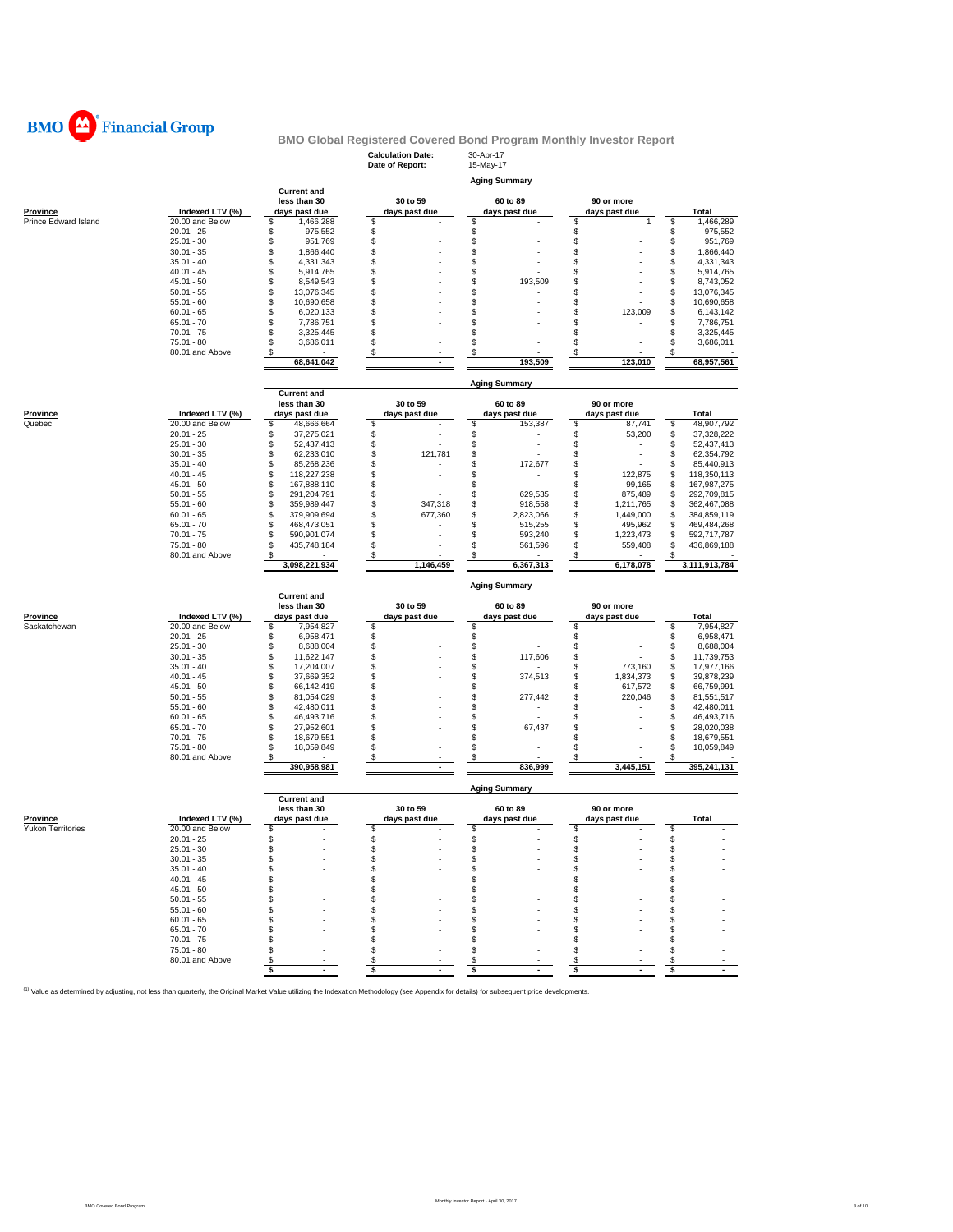

|                          |                                 |                                    | <b>Calculation Date:</b><br>Date of Report: | 30-Apr-17<br>15-May-17     |                            |                                      |
|--------------------------|---------------------------------|------------------------------------|---------------------------------------------|----------------------------|----------------------------|--------------------------------------|
|                          |                                 |                                    |                                             |                            |                            |                                      |
|                          |                                 | <b>Current and</b>                 |                                             | <b>Aging Summary</b>       |                            |                                      |
|                          |                                 | less than 30                       | 30 to 59                                    | 60 to 89                   | 90 or more                 |                                      |
| <b>Province</b>          | Indexed LTV (%)                 | days past due                      | days past due                               | days past due              | days past due              | <b>Total</b>                         |
| Prince Edward Island     | 20.00 and Below                 | \$<br>1,466,288                    | \$                                          | \$                         | \$<br>1                    | \$<br>1,466,289                      |
|                          | $20.01 - 25$                    | \$<br>975,552                      | \$<br>\$                                    | \$<br>\$                   | \$<br>\$                   | \$<br>975,552                        |
|                          | $25.01 - 30$<br>$30.01 - 35$    | \$<br>951,769                      |                                             |                            | \$                         | \$<br>951,769<br>\$<br>1,866,440     |
|                          | $35.01 - 40$                    | \$<br>1,866,440<br>4,331,343<br>\$ | \$<br>\$                                    | \$<br>\$                   | \$                         | \$<br>4,331,343                      |
|                          | $40.01 - 45$                    | 5,914,765<br>\$                    | \$                                          | \$                         | \$                         | \$<br>5,914,765                      |
|                          | $45.01 - 50$                    | \$<br>8,549,543                    | \$                                          | \$<br>193,509              | \$                         | \$<br>8,743,052                      |
|                          | $50.01 - 55$                    | \$<br>13,076,345                   | \$                                          | \$                         | \$                         | \$<br>13,076,345                     |
|                          | $55.01 - 60$                    | \$<br>10,690,658                   | \$                                          | \$                         | \$                         | \$<br>10,690,658                     |
|                          | $60.01 - 65$                    | \$<br>6,020,133                    | \$                                          | \$                         | \$<br>123.009              | \$<br>6,143,142                      |
|                          | $65.01 - 70$                    | \$<br>7,786,751                    | \$                                          | \$                         | \$                         | \$<br>7,786,751                      |
|                          | $70.01 - 75$                    | 3,325,445<br>\$                    | \$                                          | \$                         | \$                         | \$<br>3,325,445                      |
|                          | $75.01 - 80$                    | 3,686,011<br>\$                    | \$                                          | \$                         | \$                         | \$<br>3,686,011                      |
|                          | 80.01 and Above                 | S                                  | \$                                          | \$                         | \$                         | \$                                   |
|                          |                                 | 68,641,042                         | $\blacksquare$                              | 193.509                    | 123,010                    | 68,957,561                           |
|                          |                                 |                                    |                                             |                            |                            |                                      |
|                          |                                 | <b>Current and</b>                 |                                             | <b>Aging Summary</b>       |                            |                                      |
|                          |                                 | less than 30                       | 30 to 59                                    | 60 to 89                   | 90 or more                 |                                      |
| <b>Province</b>          | Indexed LTV (%)                 | days past due                      | days past due                               | days past due              | days past due              | Total                                |
| Quebec                   | 20.00 and Below                 | 48,666,664<br>S                    | \$                                          | \$<br>153,387              | \$<br>87,741               | \$<br>48,907,792                     |
|                          | $20.01 - 25$                    | \$<br>37,275,021                   | \$                                          | \$                         | \$<br>53,200               | \$<br>37,328,222                     |
|                          | $25.01 - 30$                    | 52,437,413<br>\$                   | \$                                          | \$                         | \$<br>٠                    | \$<br>52,437,413                     |
|                          | $30.01 - 35$                    | \$<br>62.233.010                   | \$<br>121,781                               | \$                         | \$                         | \$<br>62,354,792                     |
|                          | $35.01 - 40$                    | \$<br>85,268,236                   | \$                                          | \$<br>172,677              | \$<br>ä,                   | \$<br>85,440,913                     |
|                          | $40.01 - 45$                    | \$<br>118,227,238                  | \$                                          | \$                         | \$<br>122,875              | \$<br>118,350,113                    |
|                          | $45.01 - 50$                    | \$<br>167,888,110                  | \$                                          | \$                         | \$<br>99,165               | \$<br>167,987,275                    |
|                          | $50.01 - 55$                    | \$<br>291,204,791                  | \$                                          | \$<br>629.535              | \$<br>875,489              | \$<br>292,709,815                    |
|                          | $55.01 - 60$                    | \$<br>359,989,447                  | \$<br>347,318                               | \$<br>918,558              | \$<br>1,211,765            | \$<br>362,467,088                    |
|                          | $60.01 - 65$                    | \$<br>379,909,694                  | \$<br>677,360                               | \$<br>2,823,066            | \$<br>1,449,000            | \$<br>384,859,119                    |
|                          | $65.01 - 70$                    | \$<br>468,473,051                  | \$                                          | \$<br>515,255              | \$<br>495,962              | \$<br>469,484,268                    |
|                          | $70.01 - 75$                    | \$<br>590,901,074                  | \$<br>ä,                                    | \$<br>593,240              | \$<br>1,223,473            | \$<br>592,717,787                    |
|                          | 75.01 - 80                      | \$<br>435,748,184                  | \$                                          | \$<br>561,596              | \$<br>559,408              | \$<br>436,869,188                    |
|                          | 80.01 and Above                 | \$<br>3,098,221,934                | \$<br>1,146,459                             | \$<br>6,367,313            | \$<br>6,178,078            | 3,111,913,784                        |
|                          |                                 |                                    |                                             |                            |                            |                                      |
|                          |                                 | <b>Current and</b>                 |                                             | <b>Aging Summary</b>       |                            |                                      |
|                          |                                 | less than 30                       | 30 to 59                                    | 60 to 89                   | 90 or more                 |                                      |
| <b>Province</b>          | Indexed LTV (%)                 | days past due                      | days past due                               | days past due              | days past due              | Total                                |
| Saskatchewan             | 20.00 and Below<br>$20.01 - 25$ | \$<br>7,954,827<br>6,958,471       | \$                                          | \$<br>\$                   | \$<br>\$                   | \$<br>7,954,827                      |
|                          |                                 | \$                                 | \$                                          |                            |                            | \$<br>6,958,471                      |
|                          |                                 |                                    |                                             |                            |                            |                                      |
|                          | $25.01 - 30$                    | 8,688,004<br>\$                    | \$                                          | \$                         | \$                         | \$<br>8,688,004                      |
|                          | $30.01 - 35$                    | \$<br>11,622,147                   | \$                                          | \$<br>117,606              | \$                         | \$<br>11,739,753                     |
|                          | $35.01 - 40$                    | \$<br>17,204,007                   | \$                                          | \$                         | \$<br>773,160              | \$<br>17,977,166                     |
|                          | $40.01 - 45$                    | \$<br>37,669,352                   | \$                                          | \$<br>374,513              | \$<br>1,834,373            | \$<br>39,878,239                     |
|                          | $45.01 - 50$                    | \$<br>66,142,419                   | \$                                          | \$                         | \$<br>617,572              | \$<br>66,759,991                     |
|                          | $50.01 - 55$<br>$55.01 - 60$    | \$<br>81,054,029<br>\$             | \$<br>\$                                    | \$<br>277,442<br>\$        | \$<br>220,046<br>\$        | \$<br>81,551,517                     |
|                          | $60.01 - 65$                    | 42,480,011<br>\$                   |                                             | ×                          |                            | \$<br>42,480,011                     |
|                          | $65.01 - 70$                    | 46,493,716<br>\$<br>27,952,601     | \$<br>\$                                    | \$<br>\$<br>67,437         | \$<br>\$                   | \$<br>46,493,716<br>\$<br>28,020,038 |
|                          | $70.01 - 75$                    | \$<br>18,679,551                   | \$                                          | \$                         | \$                         | \$<br>18,679,551                     |
|                          | 75.01 - 80                      | 18,059,849<br>\$                   | \$                                          | \$                         | \$                         | \$<br>18,059,849                     |
|                          | 80.01 and Above                 | \$                                 | \$                                          | \$                         | \$                         | \$                                   |
|                          |                                 | 390,958,981                        | ä,                                          | 836,999                    | 3,445,151                  | 395,241,131                          |
|                          |                                 |                                    |                                             | <b>Aging Summary</b>       |                            |                                      |
|                          |                                 | <b>Current and</b>                 |                                             |                            |                            |                                      |
|                          |                                 | less than 30                       | 30 to 59                                    | 60 to 89                   | 90 or more                 |                                      |
|                          | Indexed LTV (%)                 | days past due                      | days past due                               | days past due              | days past due              | <b>Total</b>                         |
|                          | 20.00 and Below<br>$20.01 - 25$ | \$<br>\$                           | \$<br>\$                                    | \$<br>\$                   | \$<br>\$                   | \$<br>\$                             |
|                          | $25.01 - 30$                    | \$                                 | \$.                                         | \$                         | £.                         | \$                                   |
|                          | $30.01 - 35$                    | \$                                 | \$                                          | \$                         | \$                         | \$<br>٠                              |
|                          | $35.01 - 40$                    | \$                                 | \$<br>J.                                    | \$                         | \$                         | \$                                   |
|                          | $40.01 - 45$                    | \$                                 | \$                                          | \$                         | £.                         | \$                                   |
|                          | $45.01 - 50$                    | \$                                 | \$                                          | \$                         | £.                         | \$                                   |
|                          | $50.01 - 55$                    | \$                                 | \$                                          | S                          | \$                         | \$                                   |
|                          | $55.01 - 60$                    | S                                  | \$                                          | \$                         | \$                         | \$                                   |
|                          | $60.01 - 65$                    | S                                  | \$                                          | \$                         | £.                         | \$                                   |
| <b>Yukon Territories</b> | $65.01 - 70$                    | S                                  | \$                                          | \$                         | \$                         | \$                                   |
|                          | $70.01 - 75$                    | S                                  | \$                                          | \$                         | \$                         | \$                                   |
|                          | $75.01 - 80$                    | S                                  | \$                                          | \$                         | \$                         | \$                                   |
| Province                 | 80.01 and Above                 | S<br>\$<br>$\blacksquare$          | \$<br>\$<br>$\sim$                          | \$<br>\$<br>$\blacksquare$ | \$<br>\$<br>$\blacksquare$ | \$<br>\$<br>$\blacksquare$           |

<sup>(1)</sup> Value as determined by adjusting, not less than quarterly, the Original Market Value utilizing the Indexation Methodology (see Appendix for details) for subsequent price developments.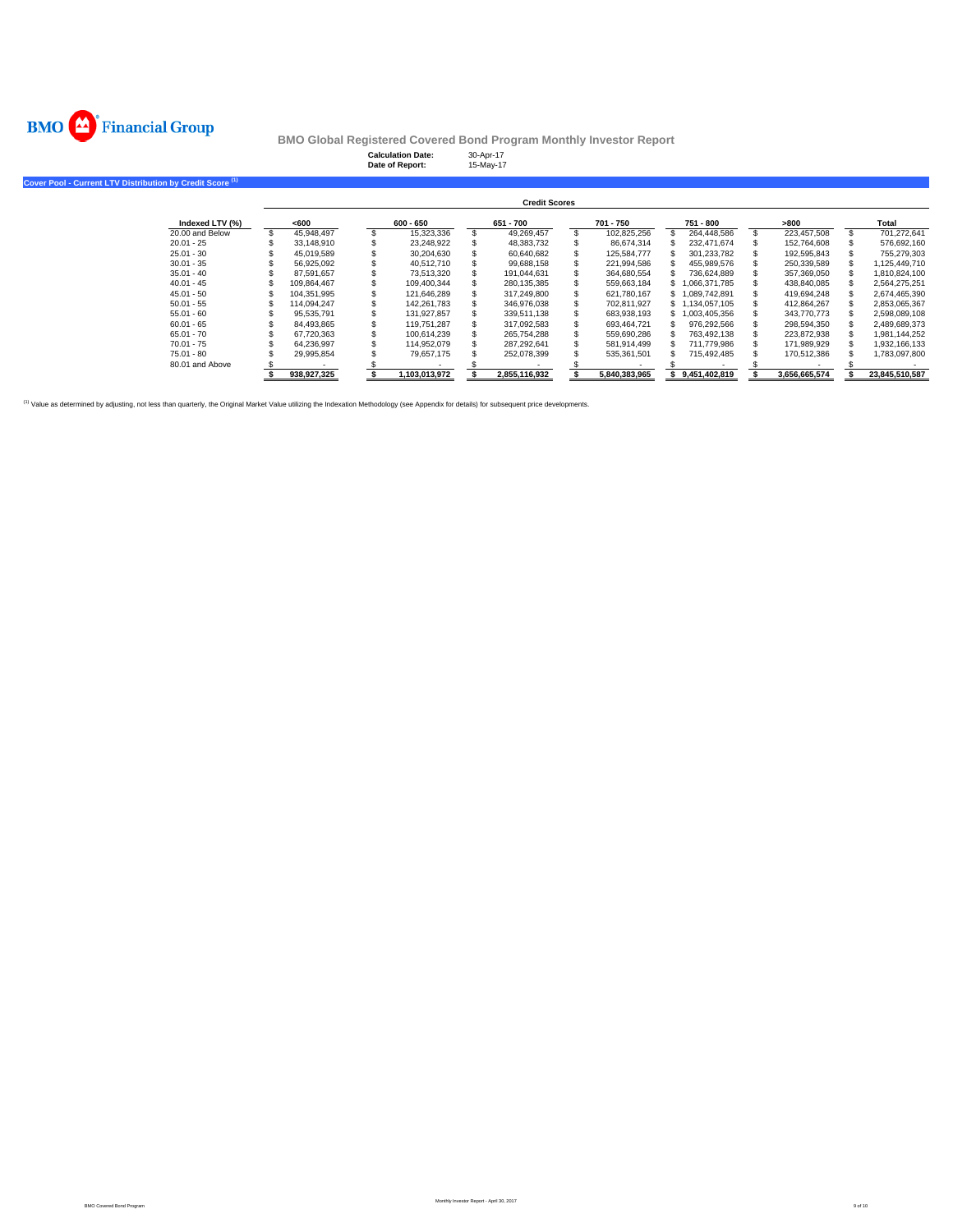

**Cover Pool -**

**BMO Global Registered Covered Bond Program Monthly Investor Report**

|                                                         |             | <b>Calculation Date:</b><br>Date of Report: |               | 30-Apr-17 | 15-May-17            |               |                 |               |                |
|---------------------------------------------------------|-------------|---------------------------------------------|---------------|-----------|----------------------|---------------|-----------------|---------------|----------------|
| Current LTV Distribution by Credit Score <sup>(1)</sup> |             |                                             |               |           |                      |               |                 |               |                |
|                                                         |             |                                             |               |           | <b>Credit Scores</b> |               |                 |               |                |
| Indexed LTV (%)                                         | $600$       |                                             | $600 - 650$   |           | 651 - 700            | 701 - 750     | 751 - 800       | >800          | Total          |
| 20.00 and Below                                         | 45,948,497  |                                             | 15,323,336    |           | 49,269,457           | 102,825,256   | 264,448,586     | 223,457,508   | 701,272,641    |
| $20.01 - 25$                                            | 33,148,910  |                                             | 23,248,922    |           | 48,383,732           | 86,674,314    | 232,471,674     | 152,764,608   | 576,692,160    |
| $25.01 - 30$                                            | 45.019.589  |                                             | 30,204,630    |           | 60,640,682           | 125,584,777   | 301,233,782     | 192,595,843   | 755,279,303    |
| $30.01 - 35$                                            | 56,925,092  |                                             | 40,512,710    |           | 99,688,158           | 221,994,586   | 455,989,576     | 250,339,589   | 1,125,449,710  |
| $35.01 - 40$                                            | 87.591.657  |                                             | 73,513,320    |           | 191,044,631          | 364,680,554   | 736,624,889     | 357,369,050   | 1,810,824,100  |
| $40.01 - 45$                                            | 109.864.467 |                                             | 109.400.344   |           | 280,135,385          | 559,663,184   | \$1,066,371,785 | 438,840,085   | 2,564,275,251  |
| $45.01 - 50$                                            | 104,351,995 |                                             | 121,646,289   |           | 317,249,800          | 621,780,167   | \$1,089,742,891 | 419,694,248   | 2,674,465,390  |
| $50.01 - 55$                                            | 114.094.247 |                                             | 142.261.783   |           | 346,976,038          | 702,811,927   | \$1,134,057,105 | 412,864,267   | 2,853,065,367  |
| $55.01 - 60$                                            | 95,535,791  |                                             | 131,927,857   |           | 339,511,138          | 683,938,193   | \$1,003,405,356 | 343,770,773   | 2,598,089,108  |
| $60.01 - 65$                                            | 84,493,865  |                                             | 119.751.287   |           | 317,092,583          | 693,464,721   | 976,292,566     | 298,594,350   | 2,489,689,373  |
| $65.01 - 70$                                            | 67,720,363  |                                             | 100,614,239   |           | 265,754,288          | 559,690,286   | 763,492,138     | 223,872,938   | 1,981,144,252  |
| $70.01 - 75$                                            | 64,236,997  |                                             | 114.952.079   |           | 287.292.641          | 581,914,499   | 711.779.986     | 171,989,929   | 1,932,166,133  |
| $75.01 - 80$                                            | 29,995,854  |                                             | 79,657,175    |           | 252,078,399          | 535,361,501   | 715,492,485     | 170,512,386   | 1,783,097,800  |
| 80.01 and Above                                         |             |                                             |               |           |                      |               |                 |               |                |
|                                                         | 938,927,325 |                                             | 1,103,013,972 |           | 2,855,116,932        | 5,840,383,965 | 9,451,402,819   | 3,656,665,574 | 23,845,510,587 |

(1) Value as determined by adjusting, not less than quarterly, the Original Market Value utilizing the Indexation Methodology (see Appendix for details) for subsequent price developments.